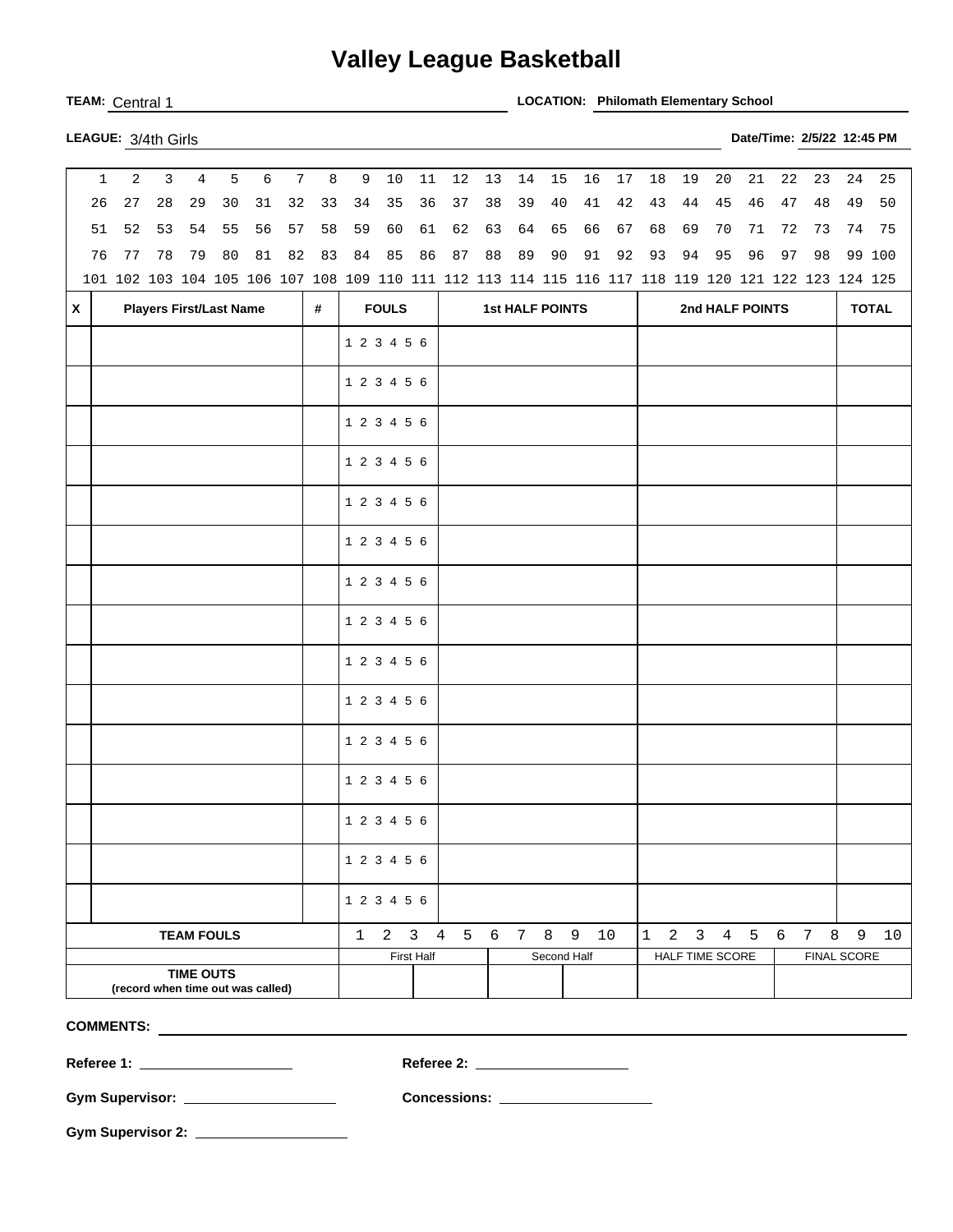## **Valley League Basketball**

**TEAM:** Central 1 **LOCATION: Philomath Elementary School** 

| LEAGUE: 3/4th Girls |  |
|---------------------|--|

| $\mathbf{1}$                      | $\overline{a}$                                                                                      | $\overline{3}$ | $\overline{4}$    | 5  | $\epsilon$ | $7\overline{ }$ | 8            |             | 9 10        | 11                     | 12          | 13 | 14 | 15          | 16 | 17   | 18              | 19              | 20 | 21        | 22 | 23  | 24                 | 25     |
|-----------------------------------|-----------------------------------------------------------------------------------------------------|----------------|-------------------|----|------------|-----------------|--------------|-------------|-------------|------------------------|-------------|----|----|-------------|----|------|-----------------|-----------------|----|-----------|----|-----|--------------------|--------|
| 26                                | $2\,7$                                                                                              | 28             | 29                | 30 | 31         | 32              | 33           | 34          | 35          | 36                     | 37          | 38 | 39 | 40          | 41 | 42   | 43              | 44              | 45 | 46        | 47 | 48  | 49                 | 50     |
| 51                                | 52                                                                                                  | 53             | 54                | 55 | 56         | 57              | 58           | 59          | 60          | 61                     | 62          | 63 | 64 | 65          | 66 | 67   | 68              | 69              | 70 | 71        | 72 | 73  | 74                 | 75     |
| 76                                | 77                                                                                                  | 78             | 79                | 80 | 81         | 82              | 83           | 84          | 85          | 86                     | 87          | 88 | 89 | 90          | 91 | 92   | 93              | 94              | 95 | 96        | 97 | 98  |                    | 99 100 |
|                                   | 101 102 103 104 105 106 107 108 109 110 111 112 113 114 115 116 117 118 119 120 121 122 123 124 125 |                |                   |    |            |                 |              |             |             |                        |             |    |    |             |    |      |                 |                 |    |           |    |     |                    |        |
| $\mathsf{x}$                      | <b>Players First/Last Name</b><br>#                                                                 |                |                   |    |            |                 | <b>FOULS</b> |             |             | <b>1st HALF POINTS</b> |             |    |    |             |    |      | 2nd HALF POINTS | <b>TOTAL</b>    |    |           |    |     |                    |        |
|                                   |                                                                                                     |                |                   |    |            |                 |              | 1 2 3 4 5 6 |             |                        |             |    |    |             |    |      |                 |                 |    |           |    |     |                    |        |
|                                   |                                                                                                     |                |                   |    |            |                 |              |             |             |                        |             |    |    |             |    |      |                 |                 |    |           |    |     |                    |        |
|                                   |                                                                                                     |                |                   |    |            |                 |              | 1 2 3 4 5 6 |             |                        |             |    |    |             |    |      |                 |                 |    |           |    |     |                    |        |
|                                   |                                                                                                     |                |                   |    |            |                 |              | 1 2 3 4 5 6 |             |                        |             |    |    |             |    |      |                 |                 |    |           |    |     |                    |        |
|                                   |                                                                                                     |                |                   |    |            |                 |              | 1 2 3 4 5 6 |             |                        |             |    |    |             |    |      |                 |                 |    |           |    |     |                    |        |
|                                   |                                                                                                     |                |                   |    |            |                 |              | 1 2 3 4 5 6 |             |                        |             |    |    |             |    |      |                 |                 |    |           |    |     |                    |        |
|                                   |                                                                                                     |                |                   |    |            |                 |              | 1 2 3 4 5 6 |             |                        |             |    |    |             |    |      |                 |                 |    |           |    |     |                    |        |
|                                   |                                                                                                     |                |                   |    |            |                 |              | 1 2 3 4 5 6 |             |                        |             |    |    |             |    |      |                 |                 |    |           |    |     |                    |        |
|                                   |                                                                                                     |                |                   |    |            |                 |              | 1 2 3 4 5 6 |             |                        |             |    |    |             |    |      |                 |                 |    |           |    |     |                    |        |
|                                   |                                                                                                     |                |                   |    |            |                 |              | 1 2 3 4 5 6 |             |                        |             |    |    |             |    |      |                 |                 |    |           |    |     |                    |        |
|                                   |                                                                                                     |                |                   |    |            |                 |              | 1 2 3 4 5 6 |             |                        |             |    |    |             |    |      |                 |                 |    |           |    |     |                    |        |
|                                   |                                                                                                     |                |                   |    |            |                 |              | 1 2 3 4 5 6 |             |                        |             |    |    |             |    |      |                 |                 |    |           |    |     |                    |        |
|                                   |                                                                                                     |                |                   |    |            |                 |              | 1 2 3 4 5 6 |             |                        |             |    |    |             |    |      |                 |                 |    |           |    |     |                    |        |
|                                   |                                                                                                     |                |                   |    |            |                 |              | 1 2 3 4 5 6 |             |                        |             |    |    |             |    |      |                 |                 |    |           |    |     |                    |        |
|                                   |                                                                                                     |                |                   |    |            |                 |              | 1 2 3 4 5 6 |             |                        |             |    |    |             |    |      |                 |                 |    |           |    |     |                    |        |
|                                   |                                                                                                     |                |                   |    |            |                 |              | 1 2 3 4 5 6 |             |                        |             |    |    |             |    |      |                 |                 |    |           |    |     |                    |        |
|                                   |                                                                                                     |                | <b>TEAM FOULS</b> |    |            |                 |              | 1           | $2 \quad 3$ |                        | 4 5 6 7 8 9 |    |    |             |    | $10$ | $\mathbf 1$     |                 |    | 2 3 4 5 6 |    | 7 8 | 9                  | 10     |
|                                   |                                                                                                     |                |                   |    |            |                 |              |             |             | <b>First Half</b>      |             |    |    | Second Half |    |      |                 | HALF TIME SCORE |    |           |    |     | <b>FINAL SCORE</b> |        |
|                                   |                                                                                                     |                | <b>TIME OUTS</b>  |    |            |                 |              |             |             |                        |             |    |    |             |    |      |                 |                 |    |           |    |     |                    |        |
| (record when time out was called) |                                                                                                     |                |                   |    |            |                 |              |             |             |                        |             |    |    |             |    |      |                 |                 |    |           |    |     |                    |        |

**COMMENTS:** 

**Referee 1: Referee 2:** 

**Gym Supervisor: Concessions:** 

**Gym Supervisor 2:** 

**LEAGUE:** 3/4th Girls **Date/Time: 2/5/22 12:45 PM**